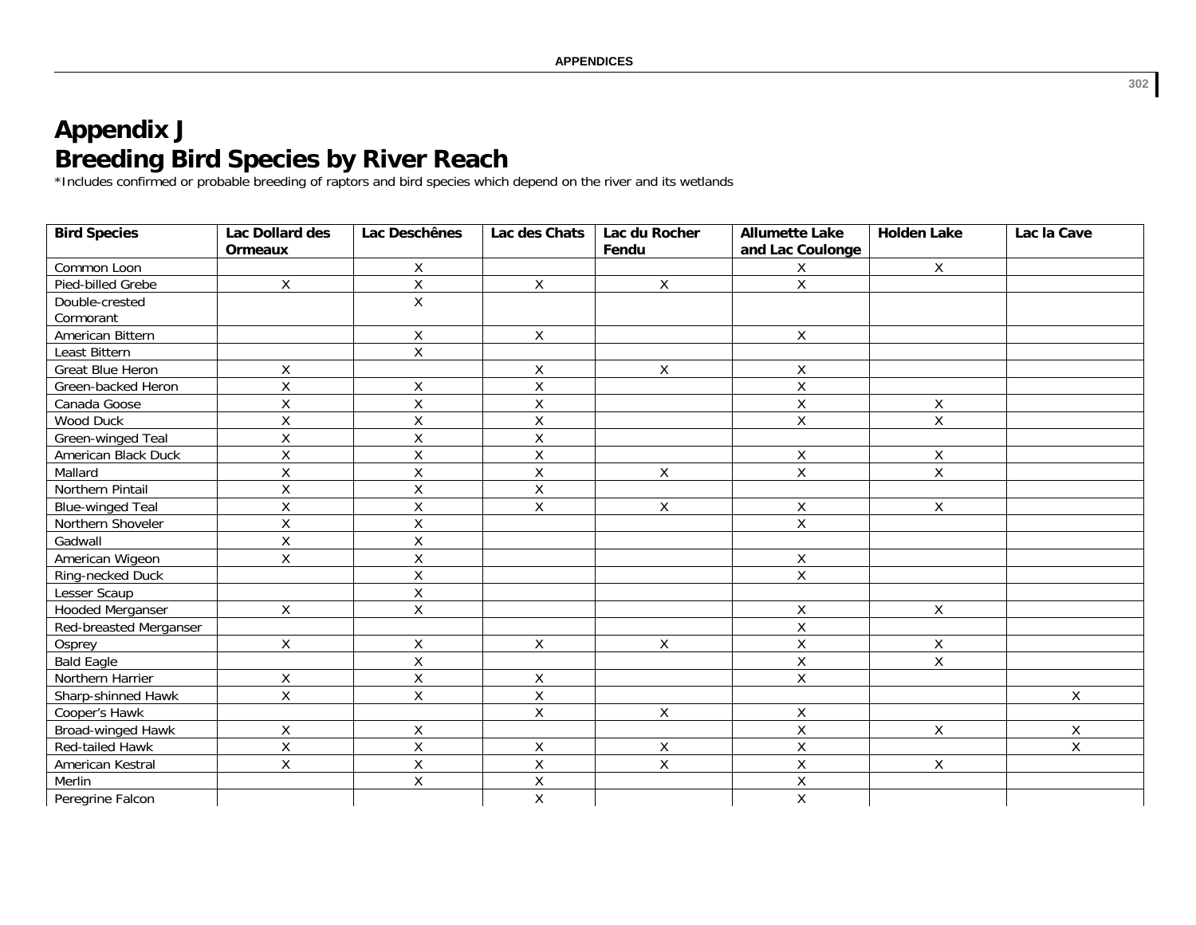## **Appendix J Breeding Bird Species by River Reach**

\*Includes confirmed or probable breeding of raptors and bird species which depend on the river and its wetlands

| <b>Bird Species</b>     | Lac Dollard des    | Lac Deschênes           | Lac des Chats           | Lac du Rocher  | <b>Allumette Lake</b>   | <b>Holden Lake</b> | Lac la Cave    |
|-------------------------|--------------------|-------------------------|-------------------------|----------------|-------------------------|--------------------|----------------|
|                         | <b>Ormeaux</b>     |                         |                         | Fendu          | and Lac Coulonge        |                    |                |
| Common Loon             |                    | X                       |                         |                | Χ                       | $\mathsf{X}$       |                |
| Pied-billed Grebe       | Χ                  | $\mathsf{X}$            | X                       | $\mathsf{X}$   | $\mathsf{X}$            |                    |                |
| Double-crested          |                    | $\mathsf{X}$            |                         |                |                         |                    |                |
| Cormorant               |                    |                         |                         |                |                         |                    |                |
| American Bittern        |                    | Χ                       | X                       |                | X                       |                    |                |
| Least Bittern           |                    | Χ                       |                         |                |                         |                    |                |
| <b>Great Blue Heron</b> | Χ                  |                         | Χ                       | X              | $\mathsf X$             |                    |                |
| Green-backed Heron      | $\mathsf{X}$       | χ                       | $\mathsf{\overline{X}}$ |                | $\mathsf X$             |                    |                |
| Canada Goose            | $\overline{X}$     | $\overline{\mathsf{x}}$ | $\overline{\mathsf{x}}$ |                | $\overline{\mathsf{x}}$ | $\mathsf X$        |                |
| Wood Duck               | Χ                  | Χ                       | X                       |                | $\mathsf X$             | $\pmb{\times}$     |                |
| Green-winged Teal       | $\mathsf{X}$       | Χ                       | X                       |                |                         |                    |                |
| American Black Duck     | $\overline{X}$     | $\overline{X}$          | $\overline{\mathsf{x}}$ |                | $\pmb{\mathsf{X}}$      | $\mathsf X$        |                |
| Mallard                 | Χ                  | Χ                       | $\sf X$                 | $\mathsf{X}$   | $\mathsf X$             | $\pmb{\times}$     |                |
| Northern Pintail        | $\pmb{\mathsf{X}}$ | X                       | $\mathsf{\overline{X}}$ |                |                         |                    |                |
| <b>Blue-winged Teal</b> | Χ                  | Χ                       | Χ                       | Χ              | Χ                       | X                  |                |
| Northern Shoveler       | $\overline{X}$     | Χ                       |                         |                | $\overline{X}$          |                    |                |
| Gadwall                 | Χ                  | $\mathsf{X}$            |                         |                |                         |                    |                |
| American Wigeon         | $\mathsf{X}$       | $\mathsf X$             |                         |                | $\pmb{\mathsf{X}}$      |                    |                |
| Ring-necked Duck        |                    | Χ                       |                         |                | $\overline{X}$          |                    |                |
| Lesser Scaup            |                    | Χ                       |                         |                |                         |                    |                |
| Hooded Merganser        | X                  | Χ                       |                         |                | Χ                       | X                  |                |
| Red-breasted Merganser  |                    |                         |                         |                | $\overline{\mathsf{x}}$ |                    |                |
| Osprey                  | Χ                  | Χ                       | X                       | X              | $\sf X$                 | Χ                  |                |
| <b>Bald Eagle</b>       |                    | $\overline{X}$          |                         |                | $\mathsf X$             | $\overline{X}$     |                |
| Northern Harrier        | Χ                  | Χ                       | X                       |                | $\mathsf{X}% _{0}$      |                    |                |
| Sharp-shinned Hawk      | X                  | X                       | $\pmb{\mathsf{X}}$      |                |                         |                    | X              |
| Cooper's Hawk           |                    |                         | X                       | Χ              | $\mathsf X$             |                    |                |
| Broad-winged Hawk       | Χ                  | $\mathsf{X}$            |                         |                | $\mathsf X$             | $\mathsf{X}$       | Χ              |
| <b>Red-tailed Hawk</b>  | $\overline{X}$     | $\overline{X}$          | $\sf X$                 | $\overline{X}$ | $\overline{X}$          |                    | $\overline{X}$ |
| American Kestral        | Χ                  | Χ                       | $\sf X$                 | X              | X                       | X                  |                |
| Merlin                  |                    | X                       | $\sf X$                 |                | Χ                       |                    |                |
| Peregrine Falcon        |                    |                         | X                       |                | $\pmb{\mathsf{X}}$      |                    |                |

**302**